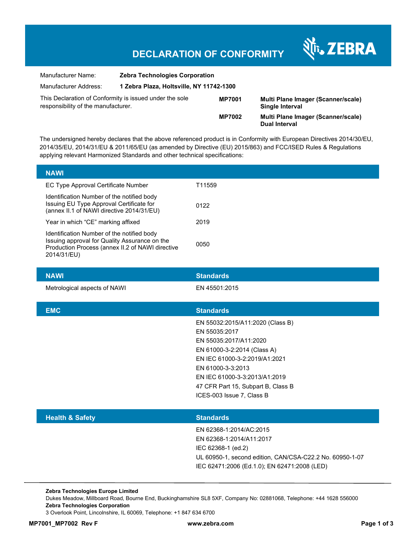## **DECLARATION OF CONFORMITY**

श्री<sub>1</sub>, ZEBRA

| Manufacturer Name:                                                                             | <b>Zebra Technologies Corporation</b>    |               |                                                            |
|------------------------------------------------------------------------------------------------|------------------------------------------|---------------|------------------------------------------------------------|
| Manufacturer Address:                                                                          | 1 Zebra Plaza, Holtsville, NY 11742-1300 |               |                                                            |
| This Declaration of Conformity is issued under the sole<br>responsibility of the manufacturer. |                                          | <b>MP7001</b> | Multi Plane Imager (Scanner/scale)<br>Single Interval      |
|                                                                                                |                                          | <b>MP7002</b> | Multi Plane Imager (Scanner/scale)<br><b>Dual Interval</b> |

The undersigned hereby declares that the above referenced product is in Conformity with European Directives 2014/30/EU, 2014/35/EU, 2014/31/EU & 2011/65/EU (as amended by Directive (EU) 2015/863) and FCC/ISED Rules & Regulations applying relevant Harmonized Standards and other technical specifications:

| <b>NAWI</b>                  | <b>Standards</b>                   |
|------------------------------|------------------------------------|
| Metrological aspects of NAWI | EN 45501:2015                      |
|                              |                                    |
| <b>EMC</b>                   | <b>Standards</b>                   |
|                              | EN 55032:2015/A11:2020 (Class B)   |
|                              | EN 55035:2017                      |
|                              | EN 55035:2017/A11:2020             |
|                              | EN 61000-3-2:2014 (Class A)        |
|                              | EN IEC 61000-3-2:2019/A1:2021      |
|                              | EN 61000-3-3:2013                  |
|                              | EN IEC 61000-3-3:2013/A1:2019      |
|                              | 47 CFR Part 15, Subpart B, Class B |
|                              | ICES-003 Issue 7, Class B          |
|                              |                                    |
| <b>Health &amp; Safety</b>   | <b>Standards</b>                   |
|                              | F110000040011100001F               |

EN 62368-1:2014/AC:2015 EN 62368-1:2014/A11:2017 IEC 62368-1 (ed.2) UL 60950-1, second edition, CAN/CSA-C22.2 No. 60950-1-07 IEC 62471:2006 (Ed.1.0); EN 62471:2008 (LED)

**Zebra Technologies Europe Limited**  Dukes Meadow, Millboard Road, Bourne End, Buckinghamshire SL8 5XF, Company No: 02881068, Telephone: +44 1628 556000 **Zebra Technologies Corporation**  3 Overlook Point, Lincolnshire, IL 60069, Telephone: +1 847 634 6700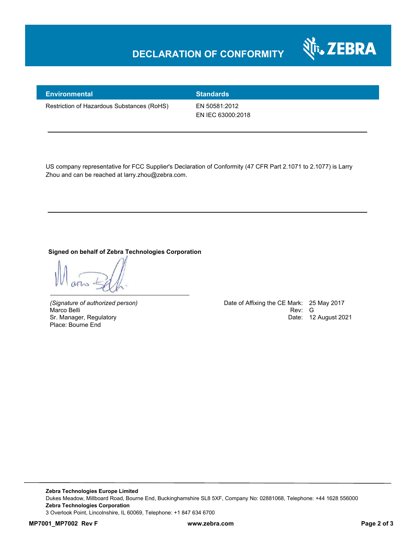## **DECLARATION OF CONFORMITY**



| <b>Environmental</b>                       | <b>Standards</b>  |
|--------------------------------------------|-------------------|
| Restriction of Hazardous Substances (RoHS) | EN 50581:2012     |
|                                            | EN IEC 63000:2018 |

US company representative for FCC Supplier's Declaration of Conformity (47 CFR Part 2.1071 to 2.1077) is Larry Zhou and can be reached at larry.zhou@zebra.com.

## **Signed on behalf of Zebra Technologies Corporation**

Place: Bourne End

*(Signature of authorized person)* Date of Affixing the CE Mark: 25 May 2017 Marco Belli Rev: Google Rev: Google Rev: Google Rev: Google Rev: Google Rev: Google Rev: Google Rev: Google Rev: G Sr. Manager, Regulatory **Date: 12 August 2021**